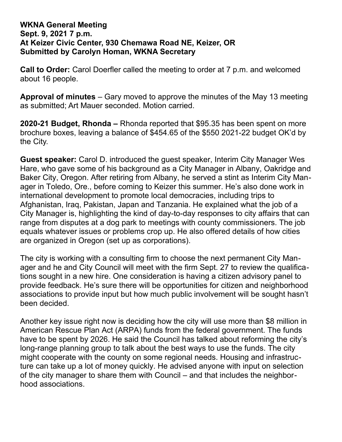## **WKNA General Meeting Sept. 9, 2021 7 p.m. At Keizer Civic Center, 930 Chemawa Road NE, Keizer, OR Submitted by Carolyn Homan, WKNA Secretary**

**Call to Order:** Carol Doerfler called the meeting to order at 7 p.m. and welcomed about 16 people.

**Approval of minutes** – Gary moved to approve the minutes of the May 13 meeting as submitted; Art Mauer seconded. Motion carried.

**2020-21 Budget, Rhonda –** Rhonda reported that \$95.35 has been spent on more brochure boxes, leaving a balance of \$454.65 of the \$550 2021-22 budget OK'd by the City.

**Guest speaker:** Carol D. introduced the guest speaker, Interim City Manager Wes Hare, who gave some of his background as a City Manager in Albany, Oakridge and Baker City, Oregon. After retiring from Albany, he served a stint as Interim City Manager in Toledo, Ore., before coming to Keizer this summer. He's also done work in international development to promote local democracies, including trips to Afghanistan, Iraq, Pakistan, Japan and Tanzania. He explained what the job of a City Manager is, highlighting the kind of day-to-day responses to city affairs that can range from disputes at a dog park to meetings with county commissioners. The job equals whatever issues or problems crop up. He also offered details of how cities are organized in Oregon (set up as corporations).

The city is working with a consulting firm to choose the next permanent City Manager and he and City Council will meet with the firm Sept. 27 to review the qualifications sought in a new hire. One consideration is having a citizen advisory panel to provide feedback. He's sure there will be opportunities for citizen and neighborhood associations to provide input but how much public involvement will be sought hasn't been decided.

Another key issue right now is deciding how the city will use more than \$8 million in American Rescue Plan Act (ARPA) funds from the federal government. The funds have to be spent by 2026. He said the Council has talked about reforming the city's long-range planning group to talk about the best ways to use the funds. The city might cooperate with the county on some regional needs. Housing and infrastructure can take up a lot of money quickly. He advised anyone with input on selection of the city manager to share them with Council – and that includes the neighborhood associations.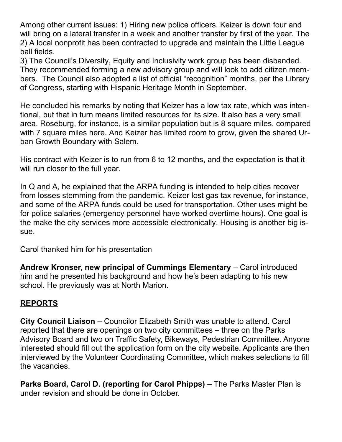Among other current issues: 1) Hiring new police officers. Keizer is down four and will bring on a lateral transfer in a week and another transfer by first of the year. The 2) A local nonprofit has been contracted to upgrade and maintain the Little League ball fields.

3) The Council's Diversity, Equity and Inclusivity work group has been disbanded. They recommended forming a new advisory group and will look to add citizen members. The Council also adopted a list of official "recognition" months, per the Library of Congress, starting with Hispanic Heritage Month in September.

He concluded his remarks by noting that Keizer has a low tax rate, which was intentional, but that in turn means limited resources for its size. It also has a very small area. Roseburg, for instance, is a similar population but is 8 square miles, compared with 7 square miles here. And Keizer has limited room to grow, given the shared Urban Growth Boundary with Salem.

His contract with Keizer is to run from 6 to 12 months, and the expectation is that it will run closer to the full year.

In Q and A, he explained that the ARPA funding is intended to help cities recover from losses stemming from the pandemic. Keizer lost gas tax revenue, for instance, and some of the ARPA funds could be used for transportation. Other uses might be for police salaries (emergency personnel have worked overtime hours). One goal is the make the city services more accessible electronically. Housing is another big issue.

Carol thanked him for his presentation

**Andrew Kronser, new principal of Cummings Elementary** – Carol introduced him and he presented his background and how he's been adapting to his new school. He previously was at North Marion.

## **REPORTS**

**City Council Liaison** – Councilor Elizabeth Smith was unable to attend. Carol reported that there are openings on two city committees – three on the Parks Advisory Board and two on Traffic Safety, Bikeways, Pedestrian Committee. Anyone interested should fill out the application form on the city website. Applicants are then interviewed by the Volunteer Coordinating Committee, which makes selections to fill the vacancies.

**Parks Board, Carol D. (reporting for Carol Phipps)** – The Parks Master Plan is under revision and should be done in October.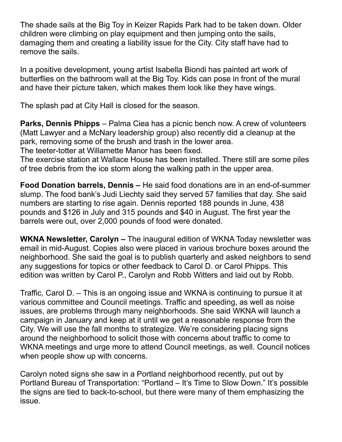The shade sails at the Big Toy in Keizer Rapids Park had to be taken down. Older children were climbing on play equipment and then jumping onto the sails, damaging them and creating a liability issue for the City. City staff have had to remove the sails.

In a positive development, young artist Isabella Biondi has painted art work of butterflies on the bathroom wall at the Big Toy. Kids can pose in front of the mural and have their picture taken, which makes them look like they have wings.

The splash pad at City Hall is closed for the season.

**Parks, Dennis Phipps** – Palma Ciea has a picnic bench now. A crew of volunteers (Matt Lawyer and a McNary leadership group) also recently did a cleanup at the park, removing some of the brush and trash in the lower area. The teeter-totter at Willamette Manor has been fixed.

The exercise station at Wallace House has been installed. There still are some piles of tree debris from the ice storm along the walking path in the upper area.

**Food Donation barrels, Dennis –** He said food donations are in an end-of-summer slump. The food bank's Judi Liechty said they served 57 families that day. She said numbers are starting to rise again. Dennis reported 188 pounds in June, 438 pounds and \$126 in July and 315 pounds and \$40 in August. The first year the barrels were out, over 2,000 pounds of food were donated.

**WKNA Newsletter, Carolyn –** The inaugural edition of WKNA Today newsletter was email in mid-August. Copies also were placed in various brochure boxes around the neighborhood. She said the goal is to publish quarterly and asked neighbors to send any suggestions for topics or other feedback to Carol D. or Carol Phipps. This edition was written by Carol P., Carolyn and Robb Witters and laid out by Robb.

Traffic, Carol D. – This is an ongoing issue and WKNA is continuing to pursue it at various committee and Council meetings. Traffic and speeding, as well as noise issues, are problems through many neighborhoods. She said WKNA will launch a campaign in January and keep at it until we get a reasonable response from the City. We will use the fall months to strategize. We're considering placing signs around the neighborhood to solicit those with concerns about traffic to come to WKNA meetings and urge more to attend Council meetings, as well. Council notices when people show up with concerns.

Carolyn noted signs she saw in a Portland neighborhood recently, put out by Portland Bureau of Transportation: "Portland – It's Time to Slow Down." It's possible the signs are tied to back-to-school, but there were many of them emphasizing the issue.